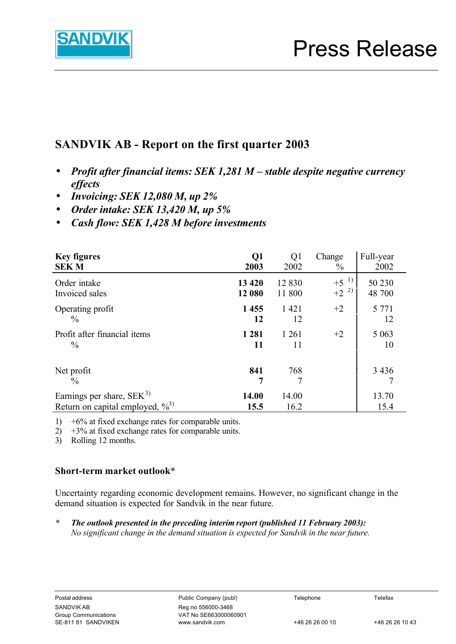

# **SANDVIK AB - Report on the first quarter 2003**

- **·** *Profit after financial items: SEK 1,281 M stable despite negative currency effects*
- **·** *Invoicing: SEK 12,080 M, up 2%*
- **·** *Order intake: SEK 13,420 M, up 5%*
- **·** *Cash flow: SEK 1,428 M before investments*

| <b>Key figures</b>                   | Q1                | Q <sub>1</sub>    | Change                  | Full-year        |
|--------------------------------------|-------------------|-------------------|-------------------------|------------------|
| <b>SEKM</b>                          | 2003              | 2002              | $\frac{0}{0}$           | 2002             |
| Order intake<br>Invoiced sales       | 13 4 20<br>12 080 | 12 8 30<br>11 800 | $+5^{-1}$<br>2)<br>$+2$ | 50 230<br>48 700 |
| Operating profit                     | 1455              | 1421              | $+2$                    | 5 7 7 1          |
| $\frac{0}{0}$                        | 12                | 12                |                         | 12               |
| Profit after financial items         | 1 2 8 1           | 1 2 6 1           | $+2$                    | 5 0 6 3          |
| $\frac{0}{0}$                        | 11                | 11                |                         | 10               |
| Net profit<br>$\frac{0}{0}$          | 841<br>7          | 768<br>7          |                         | 3 4 3 6          |
| Earnings per share, $SEK3$           | 14.00             | 14.00             |                         | 13.70            |
| Return on capital employed, $\%^{3}$ | 15.5              | 16.2              |                         | 15.4             |

1) +6% at fixed exchange rates for comparable units.

 $2)$  +3% at fixed exchange rates for comparable units.

3) Rolling 12 months.

# **Short-term market outlook\***

Uncertainty regarding economic development remains. However, no significant change in the demand situation is expected for Sandvik in the near future.

*\* The outlook presented in the preceding interim report (published 11 February 2003): No significant change in the demand situation is expected for Sandvik in the near future.*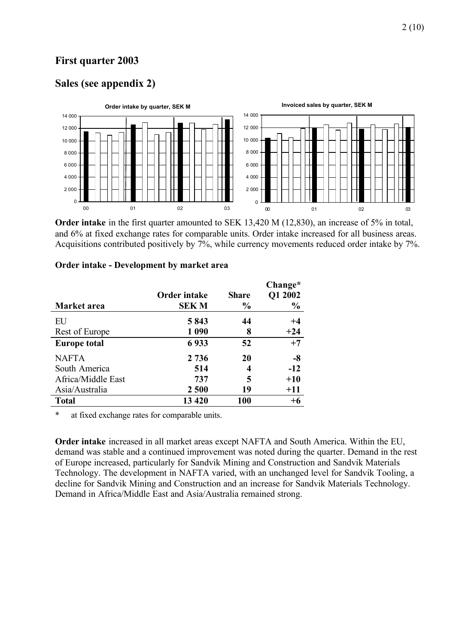# **First quarter 2003**

### **Sales (see appendix 2)**



**Order intake** in the first quarter amounted to SEK 13,420 M (12,830), an increase of 5% in total, and 6% at fixed exchange rates for comparable units. Order intake increased for all business areas. Acquisitions contributed positively by 7%, while currency movements reduced order intake by 7%.

|                     | <b>Order intake</b> | <b>Share</b>  | Change*<br>Q1 2002 |
|---------------------|---------------------|---------------|--------------------|
| Market area         | <b>SEKM</b>         | $\frac{0}{0}$ | $\frac{0}{0}$      |
| EU                  | 5843                | 44            | $+4$               |
| Rest of Europe      | 1 0 9 0             | 8             | $+24$              |
| <b>Europe total</b> | 6933                | 52            | $+7$               |
| <b>NAFTA</b>        | 2736                | 20            | -8                 |
| South America       | 514                 | 4             | $-12$              |
| Africa/Middle East  | 737                 | 5             | $+10$              |
| Asia/Australia      | 2 500               | 19            | $+11$              |
| <b>Total</b>        | 13 4 20             | 100           | $+6$               |

#### **Order intake - Development by market area**

\* at fixed exchange rates for comparable units.

**Order intake** increased in all market areas except NAFTA and South America. Within the EU, demand was stable and a continued improvement was noted during the quarter. Demand in the rest of Europe increased, particularly for Sandvik Mining and Construction and Sandvik Materials Technology. The development in NAFTA varied, with an unchanged level for Sandvik Tooling, a decline for Sandvik Mining and Construction and an increase for Sandvik Materials Technology. Demand in Africa/Middle East and Asia/Australia remained strong.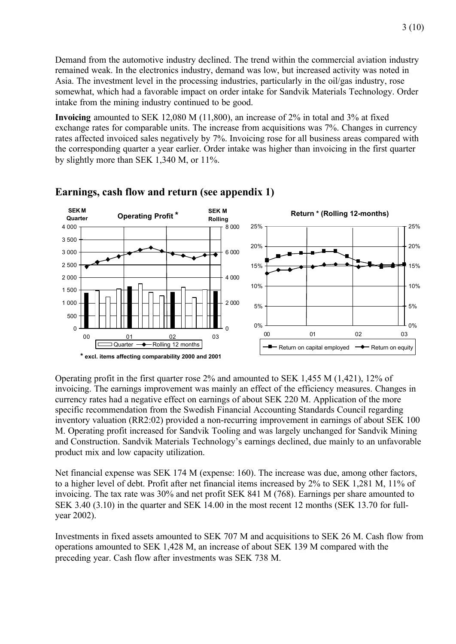Demand from the automotive industry declined. The trend within the commercial aviation industry remained weak. In the electronics industry, demand was low, but increased activity was noted in Asia. The investment level in the processing industries, particularly in the oil/gas industry, rose somewhat, which had a favorable impact on order intake for Sandvik Materials Technology. Order intake from the mining industry continued to be good.

**Invoicing** amounted to SEK 12,080 M (11,800), an increase of 2% in total and 3% at fixed exchange rates for comparable units. The increase from acquisitions was 7%. Changes in currency rates affected invoiced sales negatively by 7%. Invoicing rose for all business areas compared with the corresponding quarter a year earlier. Order intake was higher than invoicing in the first quarter by slightly more than SEK 1,340 M, or 11%.



### **Earnings, cash flow and return (see appendix 1)**

Operating profit in the first quarter rose 2% and amounted to SEK 1,455 M (1,421), 12% of invoicing. The earnings improvement was mainly an effect of the efficiency measures. Changes in currency rates had a negative effect on earnings of about SEK 220 M. Application of the more specific recommendation from the Swedish Financial Accounting Standards Council regarding inventory valuation (RR2:02) provided a non-recurring improvement in earnings of about SEK 100 M. Operating profit increased for Sandvik Tooling and was largely unchanged for Sandvik Mining and Construction. Sandvik Materials Technology's earnings declined, due mainly to an unfavorable product mix and low capacity utilization.

Net financial expense was SEK 174 M (expense: 160). The increase was due, among other factors, to a higher level of debt. Profit after net financial items increased by 2% to SEK 1,281 M, 11% of invoicing. The tax rate was 30% and net profit SEK 841 M (768). Earnings per share amounted to SEK 3.40 (3.10) in the quarter and SEK 14.00 in the most recent 12 months (SEK 13.70 for fullyear 2002).

Investments in fixed assets amounted to SEK 707 M and acquisitions to SEK 26 M. Cash flow from operations amounted to SEK 1,428 M, an increase of about SEK 139 M compared with the preceding year. Cash flow after investments was SEK 738 M.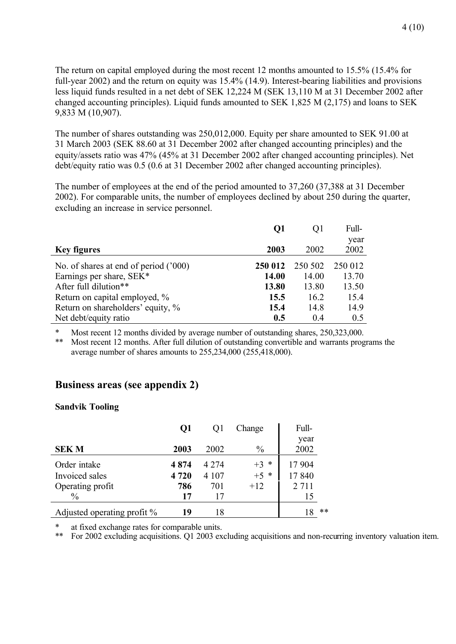The return on capital employed during the most recent 12 months amounted to 15.5% (15.4% for full-year 2002) and the return on equity was 15.4% (14.9). Interest-bearing liabilities and provisions less liquid funds resulted in a net debt of SEK 12,224 M (SEK 13,110 M at 31 December 2002 after changed accounting principles). Liquid funds amounted to SEK 1,825 M (2,175) and loans to SEK 9,833 M (10,907).

The number of shares outstanding was 250,012,000. Equity per share amounted to SEK 91.00 at 31 March 2003 (SEK 88.60 at 31 December 2002 after changed accounting principles) and the equity/assets ratio was 47% (45% at 31 December 2002 after changed accounting principles). Net debt/equity ratio was 0.5 (0.6 at 31 December 2002 after changed accounting principles).

The number of employees at the end of the period amounted to 37,260 (37,388 at 31 December 2002). For comparable units, the number of employees declined by about 250 during the quarter, excluding an increase in service personnel.

|                                       | Q1      | O1      | Full-   |
|---------------------------------------|---------|---------|---------|
|                                       |         |         | year    |
| <b>Key figures</b>                    | 2003    | 2002    | 2002    |
| No. of shares at end of period ('000) | 250 012 | 250 502 | 250 012 |
| Earnings per share, SEK*              | 14.00   | 14.00   | 13.70   |
| After full dilution**                 | 13.80   | 13.80   | 13.50   |
| Return on capital employed, %         | 15.5    | 16.2    | 15.4    |
| Return on shareholders' equity, %     | 15.4    | 14.8    | 14.9    |
| Net debt/equity ratio                 | 0.5     | 04      | 0.5     |

\* Most recent 12 months divided by average number of outstanding shares, 250,323,000.

Most recent 12 months. After full dilution of outstanding convertible and warrants programs the average number of shares amounts to 255,234,000 (255,418,000).

# **Business areas (see appendix 2)**

#### **Sandvik Tooling**

|                                | Q1     | Q1      | Change        | Full-        |
|--------------------------------|--------|---------|---------------|--------------|
| <b>SEKM</b>                    | 2003   | 2002    | $\frac{0}{0}$ | year<br>2002 |
| Order intake                   | 4874   | 4 2 7 4 | $+3$ *        | 17 904       |
| Invoiced sales                 | 4 7 20 | 4 1 0 7 | $+5$ *        | 17840        |
| Operating profit               | 786    | 701     | $+12$         | 2 7 1 1      |
| $\frac{0}{0}$                  | 17     |         |               | 15           |
| Adjusted operating profit $\%$ | 19     | 18      |               | $**$<br>18   |

\* at fixed exchange rates for comparable units.<br>\*\* For 2002 excluding acquisitions O1 2003 ex

\*\* For 2002 excluding acquisitions. Q1 2003 excluding acquisitions and non-recurring inventory valuation item.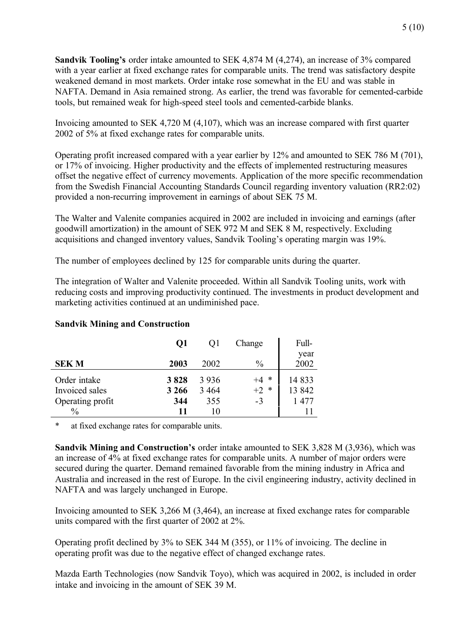**Sandvik Tooling's** order intake amounted to SEK 4,874 M (4,274), an increase of 3% compared with a year earlier at fixed exchange rates for comparable units. The trend was satisfactory despite weakened demand in most markets. Order intake rose somewhat in the EU and was stable in NAFTA. Demand in Asia remained strong. As earlier, the trend was favorable for cemented-carbide tools, but remained weak for high-speed steel tools and cemented-carbide blanks.

Invoicing amounted to SEK 4,720 M (4,107), which was an increase compared with first quarter 2002 of 5% at fixed exchange rates for comparable units.

Operating profit increased compared with a year earlier by 12% and amounted to SEK 786 M (701), or 17% of invoicing. Higher productivity and the effects of implemented restructuring measures offset the negative effect of currency movements. Application of the more specific recommendation from the Swedish Financial Accounting Standards Council regarding inventory valuation (RR2:02) provided a non-recurring improvement in earnings of about SEK 75 M.

The Walter and Valenite companies acquired in 2002 are included in invoicing and earnings (after goodwill amortization) in the amount of SEK 972 M and SEK 8 M, respectively. Excluding acquisitions and changed inventory values, Sandvik Tooling's operating margin was 19%.

The number of employees declined by 125 for comparable units during the quarter.

The integration of Walter and Valenite proceeded. Within all Sandvik Tooling units, work with reducing costs and improving productivity continued. The investments in product development and marketing activities continued at an undiminished pace.

|                                                                     | Q1                           |                                 | Change                         | Full-                   |
|---------------------------------------------------------------------|------------------------------|---------------------------------|--------------------------------|-------------------------|
| <b>SEKM</b>                                                         | 2003                         | 2002                            | $\frac{0}{0}$                  | year<br>2002            |
| Order intake<br>Invoiced sales<br>Operating profit<br>$\frac{0}{0}$ | 3828<br>3 2 6 6<br>344<br>11 | 3 9 3 6<br>3 4 6 4<br>355<br>10 | *<br>$+4$<br>$+2$<br>∗<br>$-3$ | 14833<br>13 842<br>1477 |

#### **Sandvik Mining and Construction**

\* at fixed exchange rates for comparable units.

**Sandvik Mining and Construction's** order intake amounted to SEK 3,828 M (3,936), which was an increase of 4% at fixed exchange rates for comparable units. A number of major orders were secured during the quarter. Demand remained favorable from the mining industry in Africa and Australia and increased in the rest of Europe. In the civil engineering industry, activity declined in NAFTA and was largely unchanged in Europe.

Invoicing amounted to SEK 3,266 M (3,464), an increase at fixed exchange rates for comparable units compared with the first quarter of 2002 at 2%.

Operating profit declined by 3% to SEK 344 M (355), or 11% of invoicing. The decline in operating profit was due to the negative effect of changed exchange rates.

Mazda Earth Technologies (now Sandvik Toyo), which was acquired in 2002, is included in order intake and invoicing in the amount of SEK 39 M.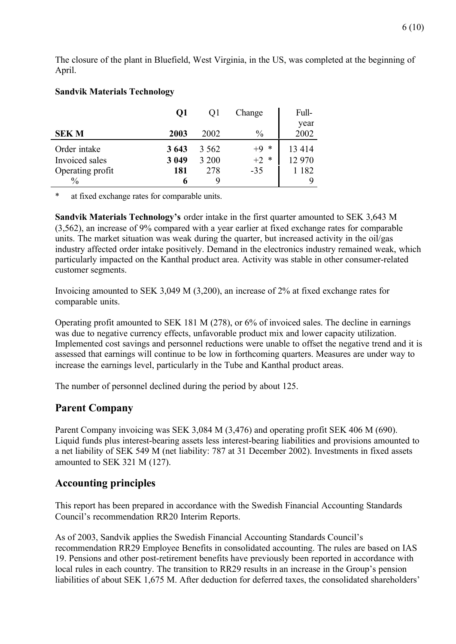The closure of the plant in Bluefield, West Virginia, in the US, was completed at the beginning of April.

#### **Sandvik Materials Technology**

|                  | Q1      | Οl    | Change        | Full-   |  |
|------------------|---------|-------|---------------|---------|--|
|                  |         |       |               | year    |  |
| <b>SEKM</b>      | 2003    | 2002  | $\frac{0}{0}$ | 2002    |  |
| Order intake     | 3 6 4 3 | 3.562 | $+9$<br>*     | 13414   |  |
| Invoiced sales   | 3 0 4 9 | 3 200 | $+2$<br>*     | 12 970  |  |
| Operating profit | 181     | 278   | $-35$         | 1 1 8 2 |  |
| $\frac{0}{0}$    |         |       |               |         |  |

\* at fixed exchange rates for comparable units.

**Sandvik Materials Technology's** order intake in the first quarter amounted to SEK 3,643 M (3,562), an increase of 9% compared with a year earlier at fixed exchange rates for comparable units. The market situation was weak during the quarter, but increased activity in the oil/gas industry affected order intake positively. Demand in the electronics industry remained weak, which particularly impacted on the Kanthal product area. Activity was stable in other consumer-related customer segments.

Invoicing amounted to SEK 3,049 M (3,200), an increase of 2% at fixed exchange rates for comparable units.

Operating profit amounted to SEK 181 M (278), or 6% of invoiced sales. The decline in earnings was due to negative currency effects, unfavorable product mix and lower capacity utilization. Implemented cost savings and personnel reductions were unable to offset the negative trend and it is assessed that earnings will continue to be low in forthcoming quarters. Measures are under way to increase the earnings level, particularly in the Tube and Kanthal product areas.

The number of personnel declined during the period by about 125.

### **Parent Company**

Parent Company invoicing was SEK 3,084 M (3,476) and operating profit SEK 406 M (690). Liquid funds plus interest-bearing assets less interest-bearing liabilities and provisions amounted to a net liability of SEK 549 M (net liability: 787 at 31 December 2002). Investments in fixed assets amounted to SEK 321 M (127).

### **Accounting principles**

This report has been prepared in accordance with the Swedish Financial Accounting Standards Council's recommendation RR20 Interim Reports.

As of 2003, Sandvik applies the Swedish Financial Accounting Standards Council's recommendation RR29 Employee Benefits in consolidated accounting. The rules are based on IAS 19. Pensions and other post-retirement benefits have previously been reported in accordance with local rules in each country. The transition to RR29 results in an increase in the Group's pension liabilities of about SEK 1,675 M. After deduction for deferred taxes, the consolidated shareholders'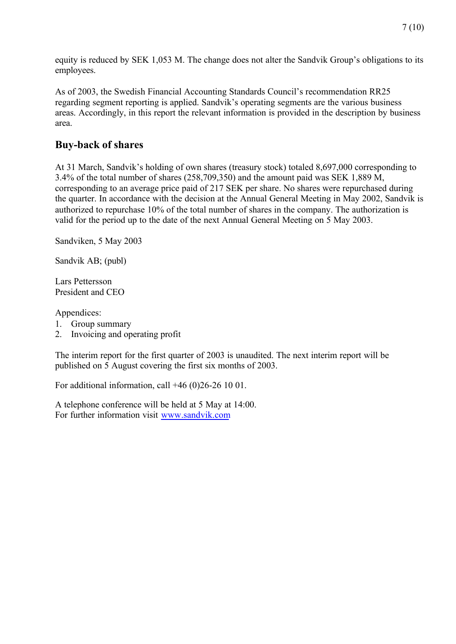equity is reduced by SEK 1,053 M. The change does not alter the Sandvik Group's obligations to its employees.

As of 2003, the Swedish Financial Accounting Standards Council's recommendation RR25 regarding segment reporting is applied. Sandvik's operating segments are the various business areas. Accordingly, in this report the relevant information is provided in the description by business area.

# **Buy-back of shares**

At 31 March, Sandvik's holding of own shares (treasury stock) totaled 8,697,000 corresponding to 3.4% of the total number of shares (258,709,350) and the amount paid was SEK 1,889 M, corresponding to an average price paid of 217 SEK per share. No shares were repurchased during the quarter. In accordance with the decision at the Annual General Meeting in May 2002, Sandvik is authorized to repurchase 10% of the total number of shares in the company. The authorization is valid for the period up to the date of the next Annual General Meeting on 5 May 2003.

Sandviken, 5 May 2003

Sandvik AB; (publ)

Lars Pettersson President and CEO

Appendices:

- 1. Group summary
- 2. Invoicing and operating profit

The interim report for the first quarter of 2003 is unaudited. The next interim report will be published on 5 August covering the first six months of 2003.

For additional information, call +46 (0)26-26 10 01.

A telephone conference will be held at 5 May at 14:00. For further information visit www.sandvik.com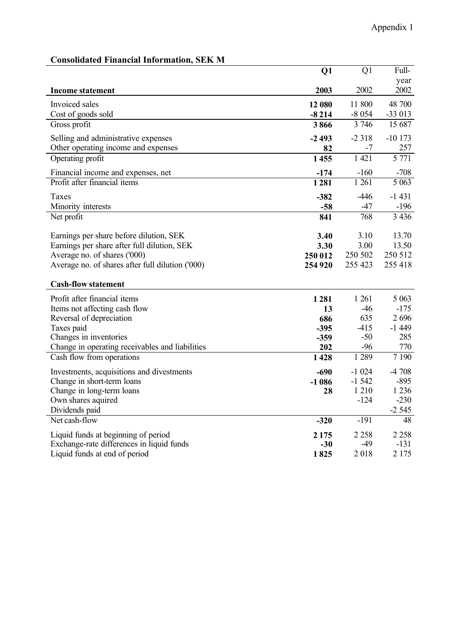| опялианса 1 піансіаі 111101 піанопу              |         |                 |                   |
|--------------------------------------------------|---------|-----------------|-------------------|
|                                                  | Q1      | $\overline{Q1}$ | Full-             |
|                                                  |         |                 | year              |
| <b>Income statement</b>                          | 2003    | 2002            | 2002              |
| Invoiced sales                                   | 12 080  | 11 800          | 48 700            |
| Cost of goods sold                               | $-8214$ | $-8054$         | $-33013$          |
| Gross profit                                     | 3866    | 3 7 4 6         | 15 687            |
| Selling and administrative expenses              | $-2493$ | $-2318$         | $-10173$          |
| Other operating income and expenses              | 82      | -7              | 257               |
| Operating profit                                 | 1455    | 1 4 2 1         | 5 7 7 1           |
| Financial income and expenses, net               | $-174$  | $-160$          | $-708$            |
| Profit after financial items                     | 1281    | 1 2 6 1         | 5 0 6 3           |
| Taxes                                            | $-382$  | $-446$          | $-1431$           |
| Minority interests                               | $-58$   | $-47$           | $-196$            |
| Net profit                                       | 841     | 768             | 3 4 3 6           |
|                                                  |         |                 |                   |
| Earnings per share before dilution, SEK          | 3.40    | 3.10            | 13.70             |
| Earnings per share after full dilution, SEK      | 3.30    | 3.00            | 13.50             |
| Average no. of shares ('000)                     | 250 012 | 250 502         | 250 512           |
| Average no. of shares after full dilution ('000) | 254 920 | 255 423         | 255 418           |
| <b>Cash-flow statement</b>                       |         |                 |                   |
| Profit after financial items                     | 1281    | 1 2 6 1         | 5 0 63            |
| Items not affecting cash flow                    | 13      | $-46$           | $-175$            |
| Reversal of depreciation                         | 686     | 635             | 2696              |
| Taxes paid                                       | $-395$  | $-415$          | $-1449$           |
| Changes in inventories                           | $-359$  | $-50$           | 285               |
| Change in operating receivables and liabilities  | 202     | $-96$           | 770               |
| Cash flow from operations                        | 1428    | 1 2 8 9         | $\frac{1}{7}$ 190 |
| Investments, acquisitions and divestments        | $-690$  | $-1024$         | $-4708$           |
| Change in short-term loans                       | $-1086$ | $-1542$         | $-895$            |
| Change in long-term loans                        | 28      | 1 2 1 0         | 1 2 3 6           |
| Own shares aquired                               |         | $-124$          | $-230$            |
| Dividends paid                                   |         |                 | $-2545$           |
| Net cash-flow                                    | $-320$  | $-191$          | 48                |
| Liquid funds at beginning of period              | 2 1 7 5 | 2 2 5 8         | 2 2 5 8           |
| Exchange-rate differences in liquid funds        | $-30$   | $-49$           | $-131$            |
| Liquid funds at end of period                    | 1825    | 2018            | 2 1 7 5           |

### **Consolidated Financial Information, SEK M**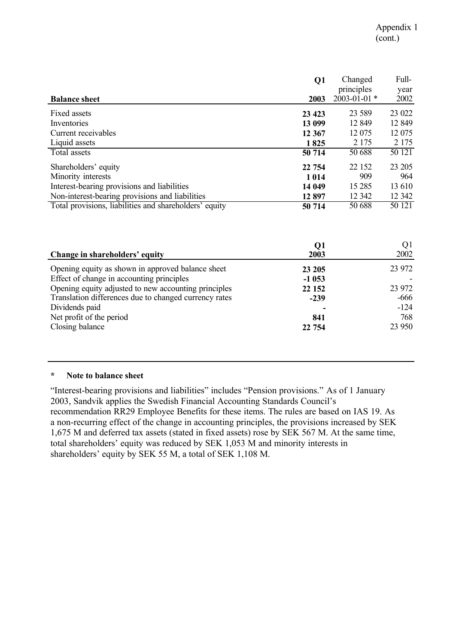|                                                        | Q1      | Changed                          | Full-        |
|--------------------------------------------------------|---------|----------------------------------|--------------|
| <b>Balance sheet</b>                                   | 2003    | principles<br>$2003 - 01 - 01$ * | year<br>2002 |
|                                                        |         |                                  |              |
| Fixed assets                                           | 23 4 23 | 23 5 89                          | 23 022       |
| Inventories                                            | 13 099  | 12 849                           | 12 849       |
| Current receivables                                    | 12 3 67 | 12 075                           | 12 075       |
| Liquid assets                                          | 1825    | 2 1 7 5                          | 2 1 7 5      |
| Total assets                                           | 50 714  | 50 688                           | 50 121       |
| Shareholders' equity                                   | 22 754  | 22 152                           | 23 205       |
| Minority interests                                     | 1014    | 909                              | 964          |
| Interest-bearing provisions and liabilities            | 14 049  | 15 2 85                          | 13 610       |
| Non-interest-bearing provisions and liabilities        | 12 897  | 12 342                           | 12 342       |
| Total provisions, liabilities and shareholders' equity | 50 714  | 50 688                           | 50 121       |

| Change in shareholders' equity                        | Q1<br>2003 | Q1<br>2002 |
|-------------------------------------------------------|------------|------------|
| Opening equity as shown in approved balance sheet     | 23 205     | 23 972     |
| Effect of change in accounting principles             | $-1053$    |            |
| Opening equity adjusted to new accounting principles  | 22 152     | 23 972     |
| Translation differences due to changed currency rates | $-239$     | $-666$     |
| Dividends paid                                        |            | $-124$     |
| Net profit of the period                              | 841        | 768        |
| Closing balance                                       | 22 754     | 23 950     |

#### **\* Note to balance sheet**

"Interest-bearing provisions and liabilities" includes "Pension provisions." As of 1 January 2003, Sandvik applies the Swedish Financial Accounting Standards Council's recommendation RR29 Employee Benefits for these items. The rules are based on IAS 19. As a non-recurring effect of the change in accounting principles, the provisions increased by SEK 1,675 M and deferred tax assets (stated in fixed assets) rose by SEK 567 M. At the same time, total shareholders' equity was reduced by SEK 1,053 M and minority interests in shareholders' equity by SEK 55 M, a total of SEK 1,108 M.